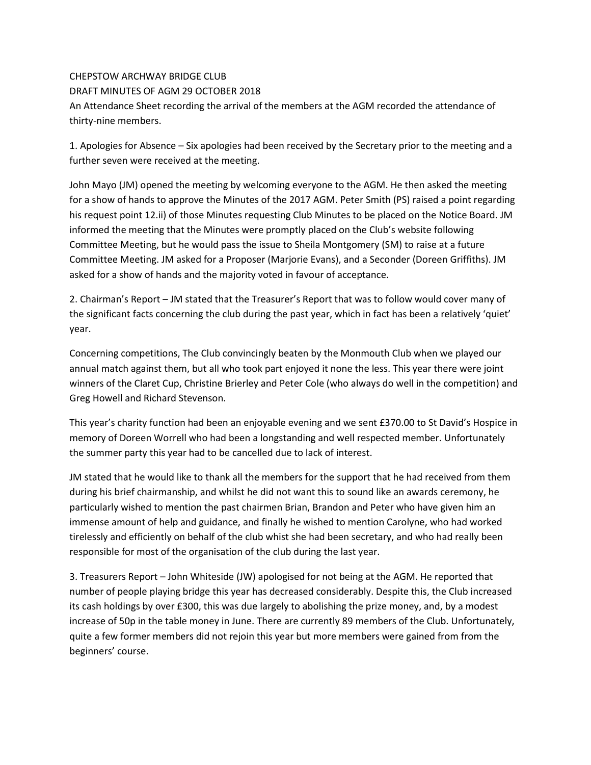## CHEPSTOW ARCHWAY BRIDGE CLUB

## DRAFT MINUTES OF AGM 29 OCTOBER 2018

An Attendance Sheet recording the arrival of the members at the AGM recorded the attendance of thirty-nine members.

1. Apologies for Absence – Six apologies had been received by the Secretary prior to the meeting and a further seven were received at the meeting.

John Mayo (JM) opened the meeting by welcoming everyone to the AGM. He then asked the meeting for a show of hands to approve the Minutes of the 2017 AGM. Peter Smith (PS) raised a point regarding his request point 12.ii) of those Minutes requesting Club Minutes to be placed on the Notice Board. JM informed the meeting that the Minutes were promptly placed on the Club's website following Committee Meeting, but he would pass the issue to Sheila Montgomery (SM) to raise at a future Committee Meeting. JM asked for a Proposer (Marjorie Evans), and a Seconder (Doreen Griffiths). JM asked for a show of hands and the majority voted in favour of acceptance.

2. Chairman's Report – JM stated that the Treasurer's Report that was to follow would cover many of the significant facts concerning the club during the past year, which in fact has been a relatively 'quiet' year.

Concerning competitions, The Club convincingly beaten by the Monmouth Club when we played our annual match against them, but all who took part enjoyed it none the less. This year there were joint winners of the Claret Cup, Christine Brierley and Peter Cole (who always do well in the competition) and Greg Howell and Richard Stevenson.

This year's charity function had been an enjoyable evening and we sent £370.00 to St David's Hospice in memory of Doreen Worrell who had been a longstanding and well respected member. Unfortunately the summer party this year had to be cancelled due to lack of interest.

JM stated that he would like to thank all the members for the support that he had received from them during his brief chairmanship, and whilst he did not want this to sound like an awards ceremony, he particularly wished to mention the past chairmen Brian, Brandon and Peter who have given him an immense amount of help and guidance, and finally he wished to mention Carolyne, who had worked tirelessly and efficiently on behalf of the club whist she had been secretary, and who had really been responsible for most of the organisation of the club during the last year.

3. Treasurers Report – John Whiteside (JW) apologised for not being at the AGM. He reported that number of people playing bridge this year has decreased considerably. Despite this, the Club increased its cash holdings by over £300, this was due largely to abolishing the prize money, and, by a modest increase of 50p in the table money in June. There are currently 89 members of the Club. Unfortunately, quite a few former members did not rejoin this year but more members were gained from from the beginners' course.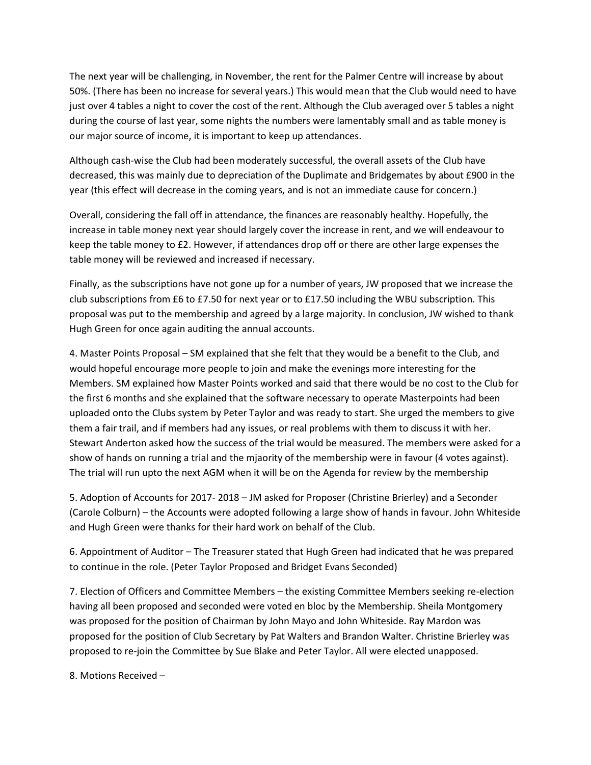The next year will be challenging, in November, the rent for the Palmer Centre will increase by about 50%. (There has been no increase for several years.) This would mean that the Club would need to have just over 4 tables a night to cover the cost of the rent. Although the Club averaged over 5 tables a night during the course of last year, some nights the numbers were lamentably small and as table money is our major source of income, it is important to keep up attendances.

Although cash-wise the Club had been moderately successful, the overall assets of the Club have decreased, this was mainly due to depreciation of the Duplimate and Bridgemates by about £900 in the year (this effect will decrease in the coming years, and is not an immediate cause for concern.)

Overall, considering the fall off in attendance, the finances are reasonably healthy. Hopefully, the increase in table money next year should largely cover the increase in rent, and we will endeavour to keep the table money to £2. However, if attendances drop off or there are other large expenses the table money will be reviewed and increased if necessary.

Finally, as the subscriptions have not gone up for a number of years, JW proposed that we increase the club subscriptions from £6 to £7.50 for next year or to £17.50 including the WBU subscription. This proposal was put to the membership and agreed by a large majority. In conclusion, JW wished to thank Hugh Green for once again auditing the annual accounts.

4. Master Points Proposal – SM explained that she felt that they would be a benefit to the Club, and would hopeful encourage more people to join and make the evenings more interesting for the Members. SM explained how Master Points worked and said that there would be no cost to the Club for the first 6 months and she explained that the software necessary to operate Masterpoints had been uploaded onto the Clubs system by Peter Taylor and was ready to start. She urged the members to give them a fair trail, and if members had any issues, or real problems with them to discuss it with her. Stewart Anderton asked how the success of the trial would be measured. The members were asked for a show of hands on running a trial and the mjaority of the membership were in favour (4 votes against). The trial will run upto the next AGM when it will be on the Agenda for review by the membership

5. Adoption of Accounts for 2017- 2018 – JM asked for Proposer (Christine Brierley) and a Seconder (Carole Colburn) – the Accounts were adopted following a large show of hands in favour. John Whiteside and Hugh Green were thanks for their hard work on behalf of the Club.

6. Appointment of Auditor – The Treasurer stated that Hugh Green had indicated that he was prepared to continue in the role. (Peter Taylor Proposed and Bridget Evans Seconded)

7. Election of Officers and Committee Members – the existing Committee Members seeking re-election having all been proposed and seconded were voted en bloc by the Membership. Sheila Montgomery was proposed for the position of Chairman by John Mayo and John Whiteside. Ray Mardon was proposed for the position of Club Secretary by Pat Walters and Brandon Walter. Christine Brierley was proposed to re-join the Committee by Sue Blake and Peter Taylor. All were elected unapposed.

8. Motions Received –